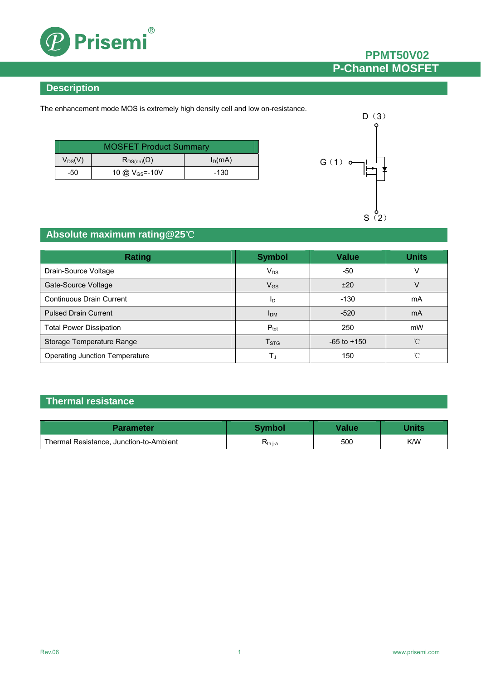

## **PPMT50V02 P-Channel MOSFET**

### **Description**

The enhancement mode MOS is extremely high density cell and low on-resistance.

| <b>MOSFET Product Summary</b> |                            |           |  |
|-------------------------------|----------------------------|-----------|--|
| $V_{DS}(V)$                   | $R_{DS(on)}(\Omega)$       | $I_D(mA)$ |  |
| -50                           | 10 @ V <sub>GS</sub> =-10V | -130      |  |



## **Absolute maximum rating@25**℃

| <b>Rating</b>                         | <b>Symbol</b>          | <b>Value</b>    | <b>Units</b> |
|---------------------------------------|------------------------|-----------------|--------------|
| Drain-Source Voltage                  | $V_{DS}$               | -50             |              |
| Gate-Source Voltage                   | $V_{GS}$               | ±20             | V            |
| <b>Continuous Drain Current</b>       | ID                     | $-130$          | mA           |
| <b>Pulsed Drain Current</b>           | <b>I</b> <sub>DM</sub> | $-520$          | mA           |
| <b>Total Power Dissipation</b>        | $P_{\text{tot}}$       | 250             | mW           |
| Storage Temperature Range             | T <sub>STG</sub>       | $-65$ to $+150$ | °C           |
| <b>Operating Junction Temperature</b> | T,                     | 150             | ∽            |

### **Thermal resistance**

| Parameter                               | <b>Symbol</b>       | Value | <b>Jnits</b> |
|-----------------------------------------|---------------------|-------|--------------|
| Thermal Resistance, Junction-to-Ambient | K <sub>th j-a</sub> | 500   | K/W          |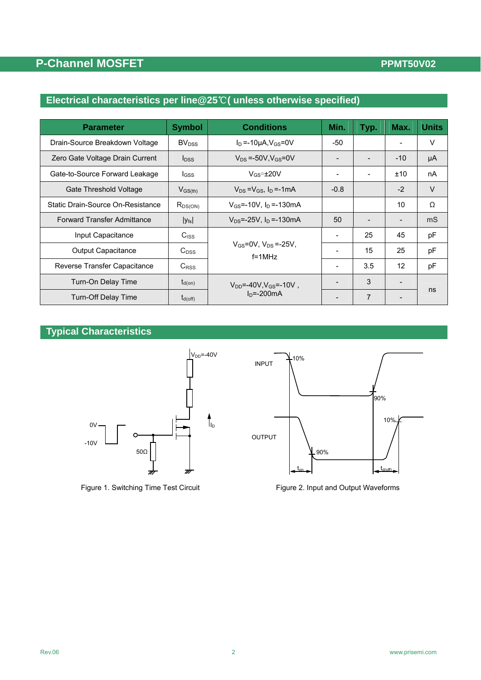## **PPMT50V02**

## **P-Channel MOSFET**

## **Electrical characteristics per line@25**℃**( unless otherwise specified)**

| <b>Parameter</b>                                                                  | <b>Symbol</b>                                     | <b>Conditions</b>                               | Min.                     | Typ. | Max.              | <b>Units</b> |
|-----------------------------------------------------------------------------------|---------------------------------------------------|-------------------------------------------------|--------------------------|------|-------------------|--------------|
| Drain-Source Breakdown Voltage                                                    | <b>BV</b> <sub>DSS</sub>                          | $I_D = -10\mu A$ , $V_{GS} = 0V$                | -50                      |      |                   | V            |
| Zero Gate Voltage Drain Current                                                   | $I_{DSS}$                                         | $V_{DS}$ =-50V, $V_{GS}$ =0V                    |                          |      | $-10$             | μA           |
| Gate-to-Source Forward Leakage                                                    | $_{\text{loss}}$                                  | $V_{GS} = \pm 20V$                              |                          |      | ±10               | nA           |
| Gate Threshold Voltage                                                            | $V_{DS} = V_{GS}$ , $I_D = -1$ mA<br>$V_{GS(th)}$ |                                                 | $-0.8$                   |      | $-2$              | $\vee$       |
| Static Drain-Source On-Resistance                                                 | $R_{DS(ON)}$                                      | $V_{GS}$ =-10V, $I_D$ =-130mA                   |                          |      | 10                | Ω            |
| <b>Forward Transfer Admittance</b><br>$V_{DS}$ =-25V, $I_D$ =-130mA<br>$ y_{fs} $ |                                                   | 50                                              |                          |      | m <sub>S</sub>    |              |
| Input Capacitance                                                                 | C <sub>ISS</sub>                                  |                                                 | $\overline{\phantom{0}}$ | 25   | 45                | pF           |
| <b>Output Capacitance</b>                                                         | $C_{DSS}$                                         | $V_{GS} = 0V$ , $V_{DS} = -25V$ ,<br>$f = 1MHz$ | $\overline{\phantom{0}}$ | 15   | 25                | pF           |
| Reverse Transfer Capacitance                                                      | $C_{RSS}$                                         |                                                 | $\overline{\phantom{a}}$ | 3.5  | $12 \overline{ }$ | pF           |
| Turn-On Delay Time                                                                | $t_{d(on)}$                                       | $V_{DD} = -40V, V_{GS} = -10V$ ,                |                          | 3    |                   |              |
| <b>Turn-Off Delay Time</b>                                                        | $t_{d(\text{off})}$                               | $In = -200mA$                                   |                          | 7    |                   | ns           |

### **Typical Characteristics**





Figure 1. Switching Time Test Circuit Figure 2. Input and Output Waveforms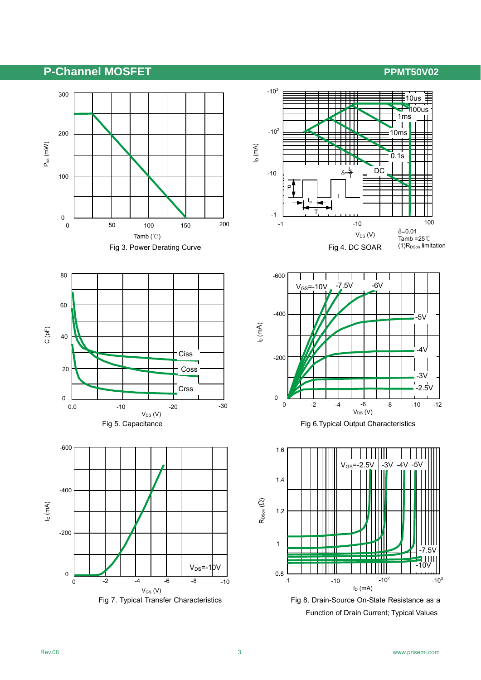## P-Channel MOSFET **PERITSOV02**





-600 0 0 -2 -4 -6 -8  $V_{DS}$  (V) ID (m  $\widehat{\mathcal{A}}$  $V_{GS}$ =-10V -2 -400 -200 -4 -6 -12 -10  $-6V$   $-6V$  $-5V$  $4\sqrt{ }$ -3V -2.5V





Function of Drain Current; Typical Values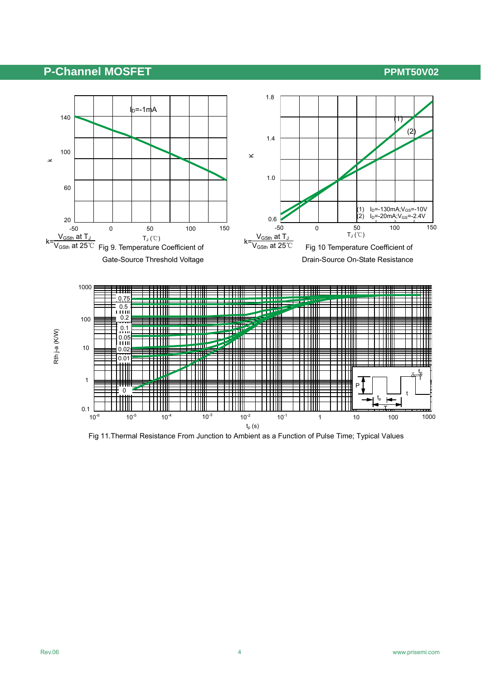## **P-Channel MOSFET P-Channel MOSFET**



Fig 11.Thermal Resistance From Junction to Ambient as a Function of Pulse Time; Typical Values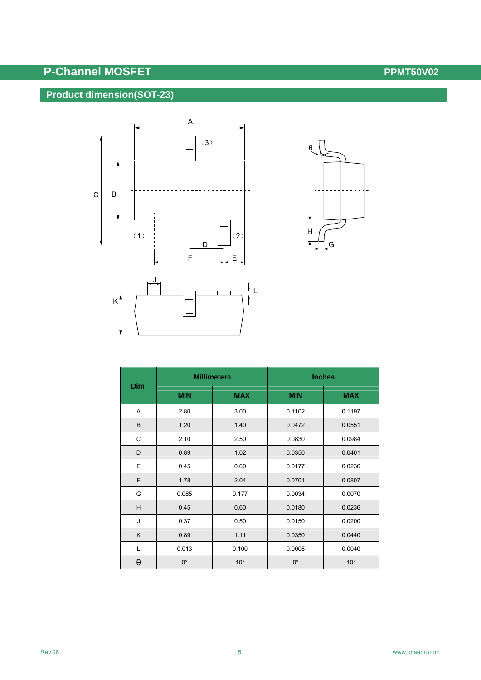# **P-Channel MOSFET P-Channel MOSFET**

## **Product dimension(SOT-23)**





| <b>Dim</b> | <b>Millimeters</b> |              | <b>Inches</b> |              |  |
|------------|--------------------|--------------|---------------|--------------|--|
|            | <b>MIN</b>         | <b>MAX</b>   | <b>MIN</b>    | <b>MAX</b>   |  |
| Α          | 2.80               | 3.00         | 0.1102        | 0.1197       |  |
| B          | 1.20               | 1.40         | 0.0472        | 0.0551       |  |
| C          | 2.10               | 2.50         | 0.0830        | 0.0984       |  |
| D          | 0.89               | 1.02         | 0.0350        | 0.0401       |  |
| E          | 0.45               | 0.60         | 0.0177        | 0.0236       |  |
| F          | 1.78               | 2.04         | 0.0701        | 0.0807       |  |
| G          | 0.085              | 0.177        | 0.0034        | 0.0070       |  |
| H          | 0.45               | 0.60         | 0.0180        | 0.0236       |  |
| J          | 0.37               | 0.50         | 0.0150        | 0.0200       |  |
| K          | 0.89               | 1.11         | 0.0350        | 0.0440       |  |
| L          | 0.013              | 0.100        | 0.0005        | 0.0040       |  |
| θ          | $0^{\circ}$        | $10^{\circ}$ | $0^{\circ}$   | $10^{\circ}$ |  |